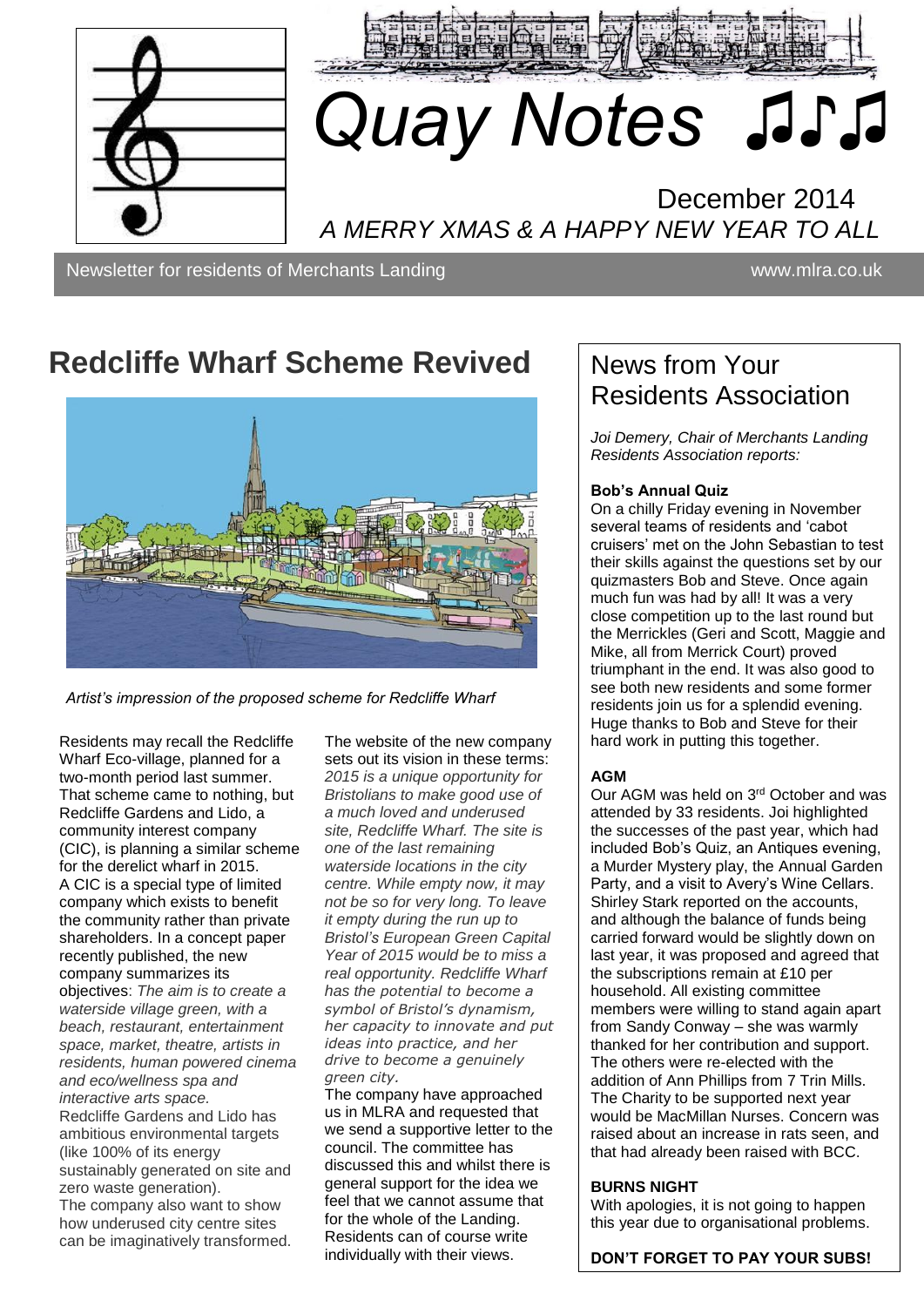



# ♫♫  *Quay Notes ♫♪♫*

## December 2014 *A MERRY XMAS & A HAPPY NEW YEAR TO ALL*

Newsletter for residents of Merchants Landing www.mira.co.uk

## **Redcliffe Wharf Scheme Revived**



*Artist's impression of the proposed scheme for Redcliffe Wharf*

Residents may recall the Redcliffe Wharf Eco-village, planned for a two-month period last summer. That scheme came to nothing, but Redcliffe Gardens and Lido, a community interest company (CIC), is planning a similar scheme for the derelict wharf in 2015. A CIC is a special type of limited company which exists to benefit the community rather than private shareholders. In a concept paper recently published, the new company summarizes its objectives: *The aim is to create a waterside village green, with a beach, restaurant, entertainment space, market, theatre, artists in residents, human powered cinema and eco/wellness spa and interactive arts space.* Redcliffe Gardens and Lido has ambitious environmental targets (like 100% of its energy sustainably generated on site and zero waste generation). The company also want to show how underused city centre sites can be imaginatively transformed.

The website of the new company sets out its vision in these terms: *2015 is a unique opportunity for Bristolians to make good use of a much loved and underused site, Redcliffe Wharf. The site is one of the last remaining waterside locations in the city centre. While empty now, it may not be so for very long. To leave it empty during the run up to Bristol's European Green Capital Year of 2015 would be to miss a real opportunity. Redcliffe Wharf has the potential to become a symbol of Bristol's dynamism, her capacity to innovate and put ideas into practice, and her drive to become a genuinely green city.*

The company have approached us in MLRA and requested that we send a supportive letter to the council. The committee has discussed this and whilst there is general support for the idea we feel that we cannot assume that for the whole of the Landing. Residents can of course write individually with their views.

## News from Your Residents Association

*Joi Demery, Chair of Merchants Landing Residents Association reports:*

#### **Bob's Annual Quiz**

On a chilly Friday evening in November several teams of residents and 'cabot cruisers' met on the John Sebastian to test their skills against the questions set by our quizmasters Bob and Steve. Once again much fun was had by all! It was a very close competition up to the last round but the Merrickles (Geri and Scott, Maggie and Mike, all from Merrick Court) proved triumphant in the end. It was also good to see both new residents and some former residents join us for a splendid evening. Huge thanks to Bob and Steve for their hard work in putting this together.

#### **AGM**

Our AGM was held on 3rd October and was attended by 33 residents. Joi highlighted the successes of the past year, which had included Bob's Quiz, an Antiques evening, a Murder Mystery play, the Annual Garden Party, and a visit to Avery's Wine Cellars. Shirley Stark reported on the accounts, and although the balance of funds being carried forward would be slightly down on last year, it was proposed and agreed that the subscriptions remain at £10 per household. All existing committee members were willing to stand again apart from Sandy Conway – she was warmly thanked for her contribution and support. The others were re-elected with the addition of Ann Phillips from 7 Trin Mills. The Charity to be supported next year would be MacMillan Nurses. Concern was raised about an increase in rats seen, and that had already been raised with BCC.

#### **BURNS NIGHT**

With apologies, it is not going to happen this year due to organisational problems.